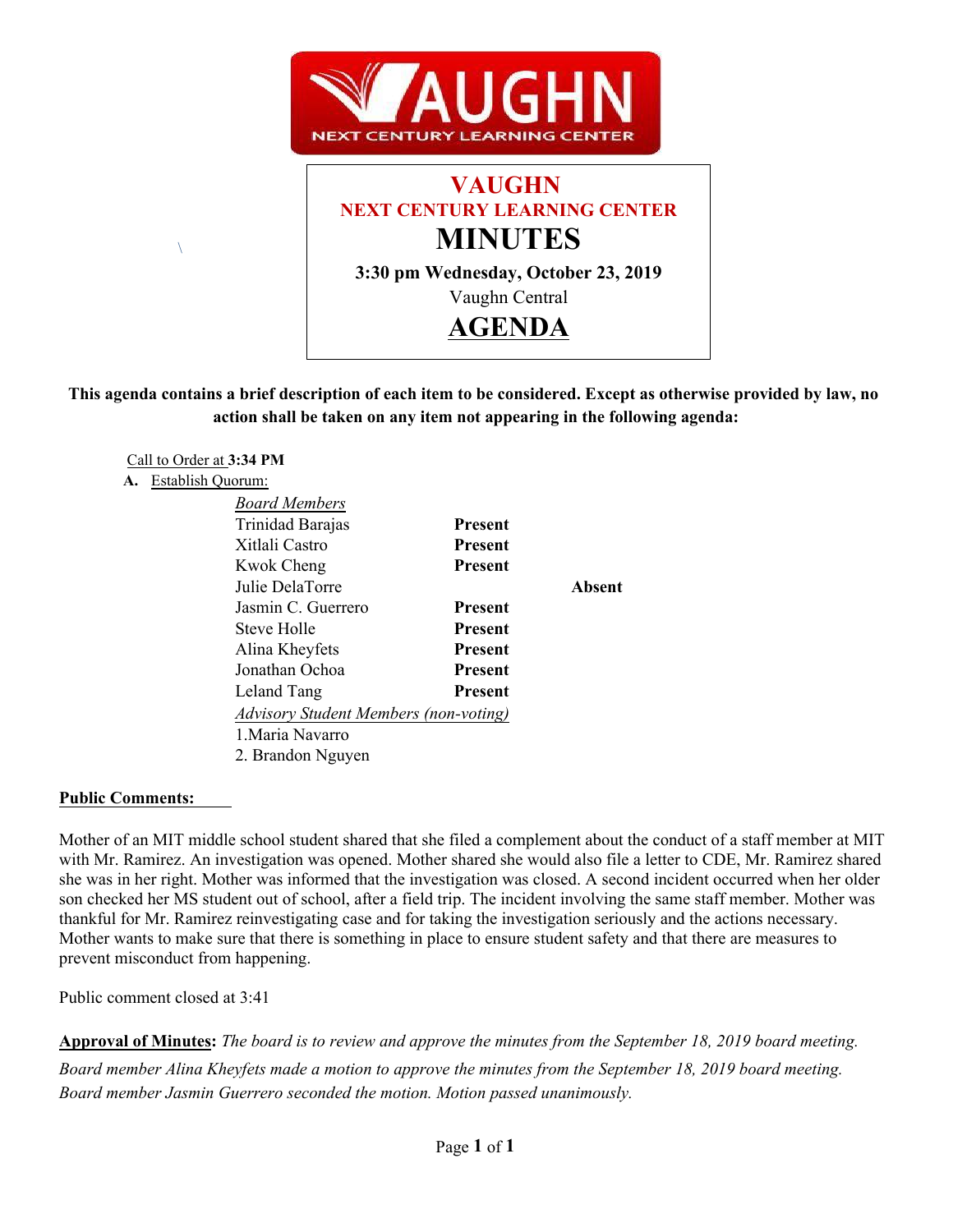



# **This agenda contains a brief description of each item to be considered. Except as otherwise provided by law, no action shall be taken on any item not appearing in the following agenda:**

### Call to Order at **3:34 PM**

 $\sqrt{2}$ 

#### **A.** Establish Quorum:

| <b>Board Members</b>                         |                |        |
|----------------------------------------------|----------------|--------|
| Trinidad Barajas                             | <b>Present</b> |        |
| Xitlali Castro                               | <b>Present</b> |        |
| <b>Kwok Cheng</b>                            | <b>Present</b> |        |
| Julie DelaTorre                              |                | Absent |
| Jasmin C. Guerrero                           | <b>Present</b> |        |
| Steve Holle                                  | <b>Present</b> |        |
| Alina Kheyfets                               | <b>Present</b> |        |
| Jonathan Ochoa                               | <b>Present</b> |        |
| Leland Tang                                  | <b>Present</b> |        |
| <b>Advisory Student Members (non-voting)</b> |                |        |
| 1. Maria Navarro                             |                |        |
| 2. Brandon Nguyen                            |                |        |

### **Public Comments:**

Mother of an MIT middle school student shared that she filed a complement about the conduct of a staff member at MIT with Mr. Ramirez. An investigation was opened. Mother shared she would also file a letter to CDE, Mr. Ramirez shared she was in her right. Mother was informed that the investigation was closed. A second incident occurred when her older son checked her MS student out of school, after a field trip. The incident involving the same staff member. Mother was thankful for Mr. Ramirez reinvestigating case and for taking the investigation seriously and the actions necessary. Mother wants to make sure that there is something in place to ensure student safety and that there are measures to prevent misconduct from happening.

Public comment closed at 3:41

**Approval of Minutes:** *The board is to review and approve the minutes from the September 18, 2019 board meeting. Board member Alina Kheyfets made a motion to approve the minutes from the September 18, 2019 board meeting. Board member Jasmin Guerrero seconded the motion. Motion passed unanimously.*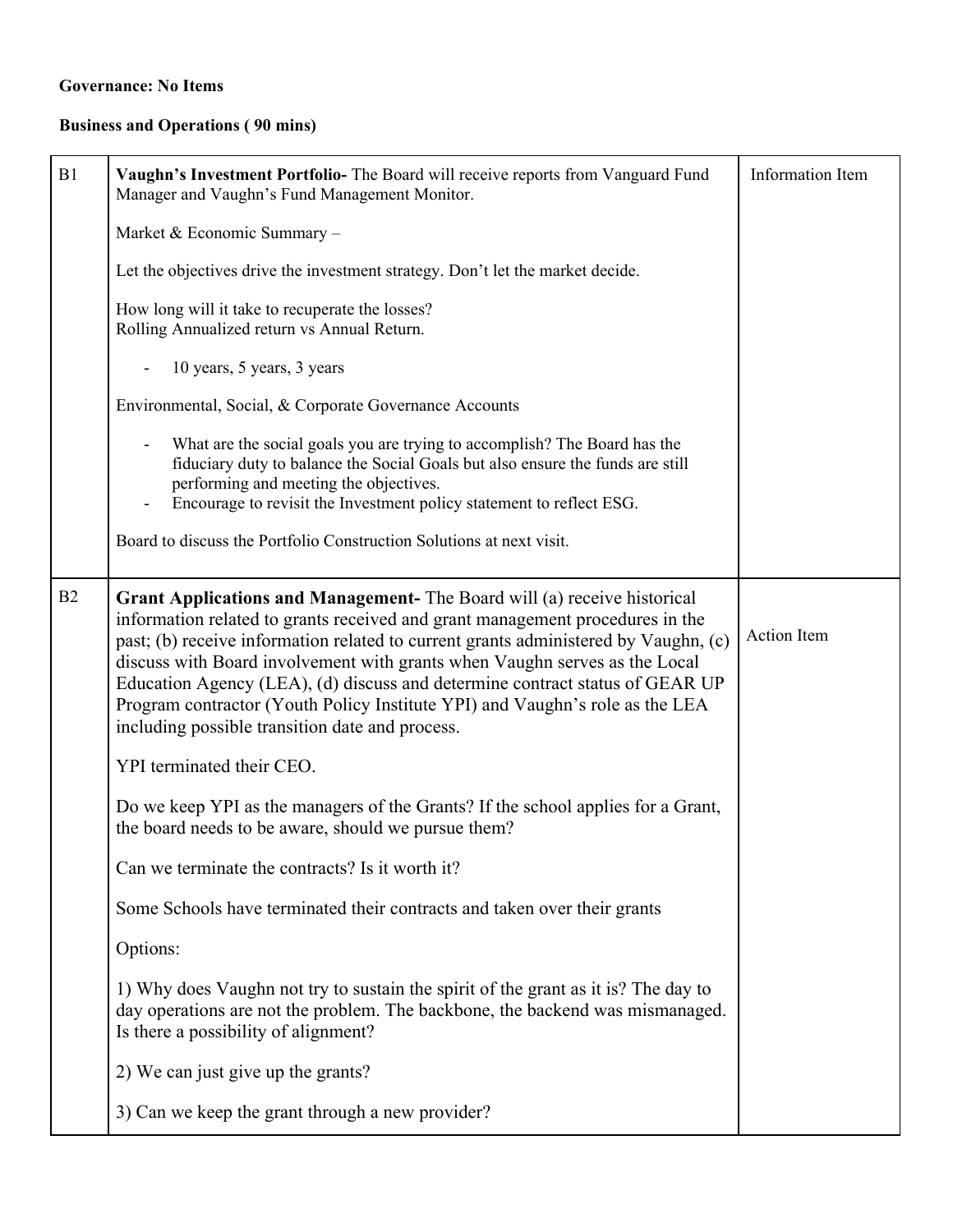# **Governance: No Items**

# **Business and Operations ( 90 mins)**

| B1 | Vaughn's Investment Portfolio- The Board will receive reports from Vanguard Fund<br>Manager and Vaughn's Fund Management Monitor.                                                                                                                                                                                                                                                                                                                                                                                                                 | Information Item |  |
|----|---------------------------------------------------------------------------------------------------------------------------------------------------------------------------------------------------------------------------------------------------------------------------------------------------------------------------------------------------------------------------------------------------------------------------------------------------------------------------------------------------------------------------------------------------|------------------|--|
|    | Market & Economic Summary -                                                                                                                                                                                                                                                                                                                                                                                                                                                                                                                       |                  |  |
|    | Let the objectives drive the investment strategy. Don't let the market decide.                                                                                                                                                                                                                                                                                                                                                                                                                                                                    |                  |  |
|    | How long will it take to recuperate the losses?<br>Rolling Annualized return vs Annual Return.                                                                                                                                                                                                                                                                                                                                                                                                                                                    |                  |  |
|    | 10 years, 5 years, 3 years                                                                                                                                                                                                                                                                                                                                                                                                                                                                                                                        |                  |  |
|    | Environmental, Social, & Corporate Governance Accounts                                                                                                                                                                                                                                                                                                                                                                                                                                                                                            |                  |  |
|    | What are the social goals you are trying to accomplish? The Board has the<br>fiduciary duty to balance the Social Goals but also ensure the funds are still<br>performing and meeting the objectives.<br>Encourage to revisit the Investment policy statement to reflect ESG.                                                                                                                                                                                                                                                                     |                  |  |
|    | Board to discuss the Portfolio Construction Solutions at next visit.                                                                                                                                                                                                                                                                                                                                                                                                                                                                              |                  |  |
| B2 | Grant Applications and Management- The Board will (a) receive historical<br>information related to grants received and grant management procedures in the<br>past; (b) receive information related to current grants administered by Vaughn, (c)<br>discuss with Board involvement with grants when Vaughn serves as the Local<br>Education Agency (LEA), (d) discuss and determine contract status of GEAR UP<br>Program contractor (Youth Policy Institute YPI) and Vaughn's role as the LEA<br>including possible transition date and process. | Action Item      |  |
|    | YPI terminated their CEO.                                                                                                                                                                                                                                                                                                                                                                                                                                                                                                                         |                  |  |
|    | Do we keep YPI as the managers of the Grants? If the school applies for a Grant,<br>the board needs to be aware, should we pursue them?                                                                                                                                                                                                                                                                                                                                                                                                           |                  |  |
|    | Can we terminate the contracts? Is it worth it?                                                                                                                                                                                                                                                                                                                                                                                                                                                                                                   |                  |  |
|    | Some Schools have terminated their contracts and taken over their grants                                                                                                                                                                                                                                                                                                                                                                                                                                                                          |                  |  |
|    | Options:                                                                                                                                                                                                                                                                                                                                                                                                                                                                                                                                          |                  |  |
|    | 1) Why does Vaughn not try to sustain the spirit of the grant as it is? The day to<br>day operations are not the problem. The backbone, the backend was mismanaged.<br>Is there a possibility of alignment?                                                                                                                                                                                                                                                                                                                                       |                  |  |
|    | 2) We can just give up the grants?                                                                                                                                                                                                                                                                                                                                                                                                                                                                                                                |                  |  |
|    | 3) Can we keep the grant through a new provider?                                                                                                                                                                                                                                                                                                                                                                                                                                                                                                  |                  |  |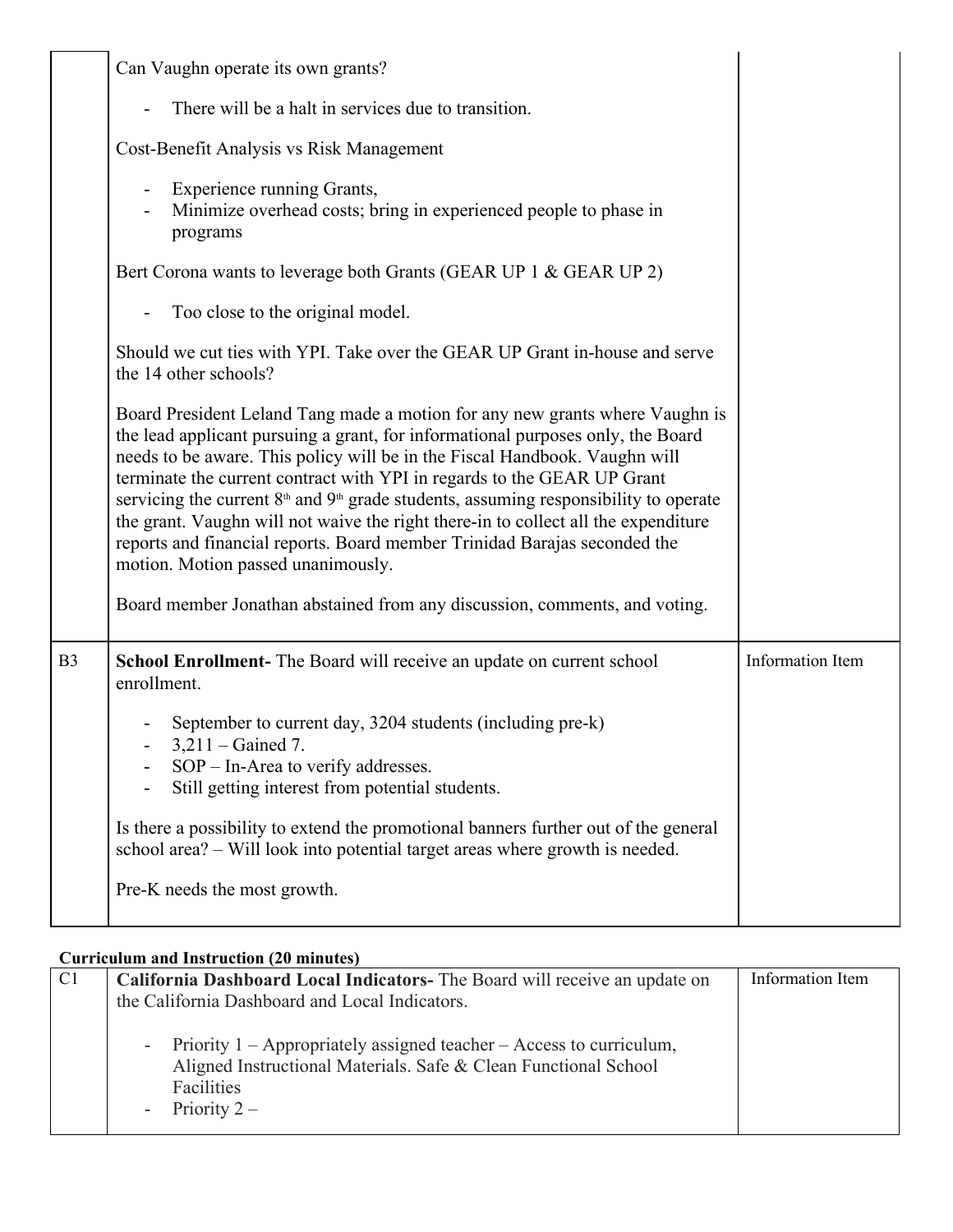|                | Can Vaughn operate its own grants?                                                                                                                                                                                                                                                                                                                                                                                                                                                                                                                                                                                                                                                                          |                  |  |
|----------------|-------------------------------------------------------------------------------------------------------------------------------------------------------------------------------------------------------------------------------------------------------------------------------------------------------------------------------------------------------------------------------------------------------------------------------------------------------------------------------------------------------------------------------------------------------------------------------------------------------------------------------------------------------------------------------------------------------------|------------------|--|
|                | There will be a halt in services due to transition.                                                                                                                                                                                                                                                                                                                                                                                                                                                                                                                                                                                                                                                         |                  |  |
|                | Cost-Benefit Analysis vs Risk Management                                                                                                                                                                                                                                                                                                                                                                                                                                                                                                                                                                                                                                                                    |                  |  |
|                | Experience running Grants,<br>Minimize overhead costs; bring in experienced people to phase in<br>programs                                                                                                                                                                                                                                                                                                                                                                                                                                                                                                                                                                                                  |                  |  |
|                | Bert Corona wants to leverage both Grants (GEAR UP 1 & GEAR UP 2)                                                                                                                                                                                                                                                                                                                                                                                                                                                                                                                                                                                                                                           |                  |  |
|                | Too close to the original model.                                                                                                                                                                                                                                                                                                                                                                                                                                                                                                                                                                                                                                                                            |                  |  |
|                | Should we cut ties with YPI. Take over the GEAR UP Grant in-house and serve<br>the 14 other schools?                                                                                                                                                                                                                                                                                                                                                                                                                                                                                                                                                                                                        |                  |  |
|                | Board President Leland Tang made a motion for any new grants where Vaughn is<br>the lead applicant pursuing a grant, for informational purposes only, the Board<br>needs to be aware. This policy will be in the Fiscal Handbook. Vaughn will<br>terminate the current contract with YPI in regards to the GEAR UP Grant<br>servicing the current $8th$ and $9th$ grade students, assuming responsibility to operate<br>the grant. Vaughn will not waive the right there-in to collect all the expenditure<br>reports and financial reports. Board member Trinidad Barajas seconded the<br>motion. Motion passed unanimously.<br>Board member Jonathan abstained from any discussion, comments, and voting. |                  |  |
| B <sub>3</sub> | School Enrollment- The Board will receive an update on current school<br>enrollment.<br>September to current day, 3204 students (including pre-k)<br>$3,211 -$ Gained 7.<br>$SOP$ – In-Area to verify addresses.<br>Still getting interest from potential students.                                                                                                                                                                                                                                                                                                                                                                                                                                         | Information Item |  |
|                | Is there a possibility to extend the promotional banners further out of the general<br>school area? - Will look into potential target areas where growth is needed.                                                                                                                                                                                                                                                                                                                                                                                                                                                                                                                                         |                  |  |
|                | Pre-K needs the most growth.                                                                                                                                                                                                                                                                                                                                                                                                                                                                                                                                                                                                                                                                                |                  |  |
|                |                                                                                                                                                                                                                                                                                                                                                                                                                                                                                                                                                                                                                                                                                                             |                  |  |

# **Curriculum and Instruction (20 minutes)**

| C <sub>1</sub> | California Dashboard Local Indicators- The Board will receive an update on                                                                                                | Information Item |
|----------------|---------------------------------------------------------------------------------------------------------------------------------------------------------------------------|------------------|
|                | the California Dashboard and Local Indicators.                                                                                                                            |                  |
|                | - Priority 1 – Appropriately assigned teacher – Access to curriculum,<br>Aligned Instructional Materials. Safe & Clean Functional School<br>Facilities<br>- Priority $2-$ |                  |